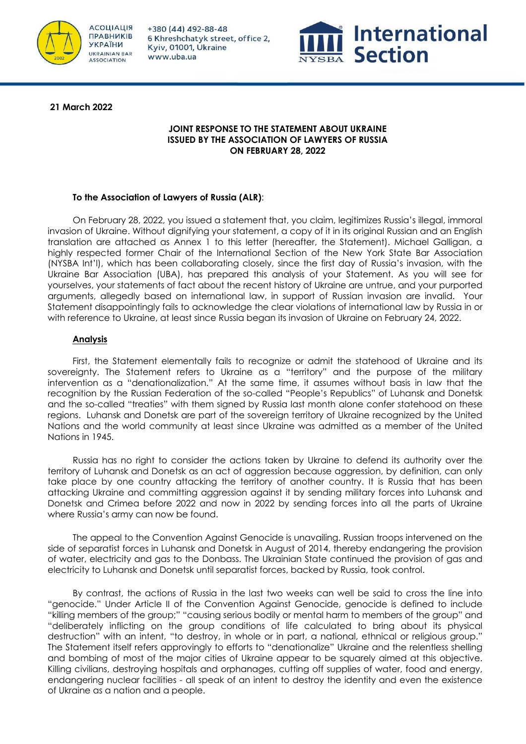

+380 (44) 492-88-48 6 Khreshchatyk street, office 2, Kyiv, 01001, Ukraine www.uba.ua



**21 March 2022** 

### **JOINT RESPONSE TO THE STATEMENT ABOUT UKRAINE ISSUED BY THE ASSOCIATION OF LAWYERS OF RUSSIA ON FEBRUARY 28, 2022**

# **To the Association of Lawyers of Russia (ALR)**:

On February 28, 2022, you issued a statement that, you claim, legitimizes Russia's illegal, immoral invasion of Ukraine. Without dignifying your statement, a copy of it in its original Russian and an English translation are attached as Annex 1 to this letter (hereafter, the Statement). Michael Galligan, a highly respected former Chair of the International Section of the New York State Bar Association (NYSBA Int'l), which has been collaborating closely, since the first day of Russia's invasion, with the Ukraine Bar Association (UBA), has prepared this analysis of your Statement. As you will see for yourselves, your statements of fact about the recent history of Ukraine are untrue, and your purported arguments, allegedly based on international law, in support of Russian invasion are invalid. Your Statement disappointingly fails to acknowledge the clear violations of international law by Russia in or with reference to Ukraine, at least since Russia began its invasion of Ukraine on February 24, 2022.

# **Analysis**

First, the Statement elementally fails to recognize or admit the statehood of Ukraine and its sovereignty. The Statement refers to Ukraine as a "territory" and the purpose of the military intervention as a "denationalization." At the same time, it assumes without basis in law that the recognition by the Russian Federation of the so-called "People's Republics" of Luhansk and Donetsk and the so-called "treaties" with them signed by Russia last month alone confer statehood on these regions. Luhansk and Donetsk are part of the sovereign territory of Ukraine recognized by the United Nations and the world community at least since Ukraine was admitted as a member of the United Nations in 1945.

Russia has no right to consider the actions taken by Ukraine to defend its authority over the territory of Luhansk and Donetsk as an act of aggression because aggression, by definition, can only take place by one country attacking the territory of another country. It is Russia that has been attacking Ukraine and committing aggression against it by sending military forces into Luhansk and Donetsk and Crimea before 2022 and now in 2022 by sending forces into all the parts of Ukraine where Russia's army can now be found.

The appeal to the Convention Against Genocide is unavailing. Russian troops intervened on the side of separatist forces in Luhansk and Donetsk in August of 2014, thereby endangering the provision of water, electricity and gas to the Donbass. The Ukrainian State continued the provision of gas and electricity to Luhansk and Donetsk until separatist forces, backed by Russia, took control.

By contrast, the actions of Russia in the last two weeks can well be said to cross the line into "genocide." Under Article II of the Convention Against Genocide, genocide is defined to include "killing members of the group;" "causing serious bodily or mental harm to members of the group" and "deliberately inflicting on the group conditions of life calculated to bring about its physical destruction" with an intent, "to destroy, in whole or in part, a national, ethnical or religious group." The Statement itself refers approvingly to efforts to "denationalize" Ukraine and the relentless shelling and bombing of most of the major cities of Ukraine appear to be squarely aimed at this objective. Killing civilians, destroying hospitals and orphanages, cutting off supplies of water, food and energy, endangering nuclear facilities - all speak of an intent to destroy the identity and even the existence of Ukraine as a nation and a people.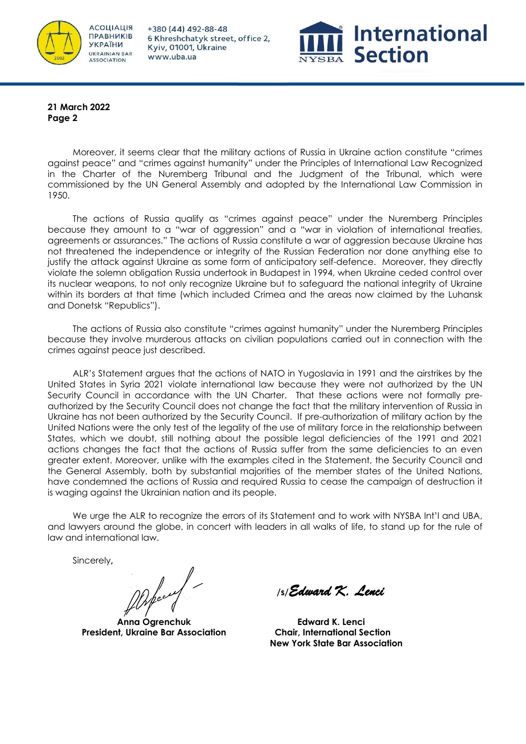

+380 (44) 492-88-48 6 Khreshchatyk street, office 2, Kyiv, 01001, Ukraine www.uba.ua



**21 March 2022 Page 2**

Moreover, it seems clear that the military actions of Russia in Ukraine action constitute "crimes against peace" and "crimes against humanity" under the Principles of International Law Recognized in the Charter of the Nuremberg Tribunal and the Judgment of the Tribunal, which were commissioned by the UN General Assembly and adopted by the International Law Commission in 1950.

The actions of Russia qualify as "crimes against peace" under the Nuremberg Principles because they amount to a "war of aggression" and a "war in violation of international treaties, agreements or assurances." The actions of Russia constitute a war of aggression because Ukraine has not threatened the independence or integrity of the Russian Federation nor done anything else to justify the attack against Ukraine as some form of anticipatory self-defence. Moreover, they directly violate the solemn obligation Russia undertook in Budapest in 1994, when Ukraine ceded control over its nuclear weapons, to not only recognize Ukraine but to safeguard the national integrity of Ukraine within its borders at that time (which included Crimea and the areas now claimed by the Luhansk and Donetsk "Republics").

The actions of Russia also constitute "crimes against humanity" under the Nuremberg Principles because they involve murderous attacks on civilian populations carried out in connection with the crimes against peace just described.

ALR's Statement argues that the actions of NATO in Yugoslavia in 1991 and the airstrikes by the United States in Syria 2021 violate international law because they were not authorized by the UN Security Council in accordance with the UN Charter. That these actions were not formally preauthorized by the Security Council does not change the fact that the military intervention of Russia in Ukraine has not been authorized by the Security Council. If pre-authorization of military action by the United Nations were the only test of the legality of the use of military force in the relationship between States, which we doubt, still nothing about the possible legal deficiencies of the 1991 and 2021 actions changes the fact that the actions of Russia suffer from the same deficiencies to an even greater extent. Moreover, unlike with the examples cited in the Statement, the Security Council and the General Assembly, both by substantial majorities of the member states of the United Nations, have condemned the actions of Russia and required Russia to cease the campaign of destruction it is waging against the Ukrainian nation and its people.

We urge the ALR to recognize the errors of its Statement and to work with NYSBA Int'l and UBA, and lawyers around the globe, in concert with leaders in all walks of life, to stand up for the rule of law and international law.

Sincerely**,**

**Anna Ogrenchuk President, Ukraine Bar Association**

 **/s/***Edward K. Lenci* 

**Edward K. Lenci Chair, International Section New York State Bar Association**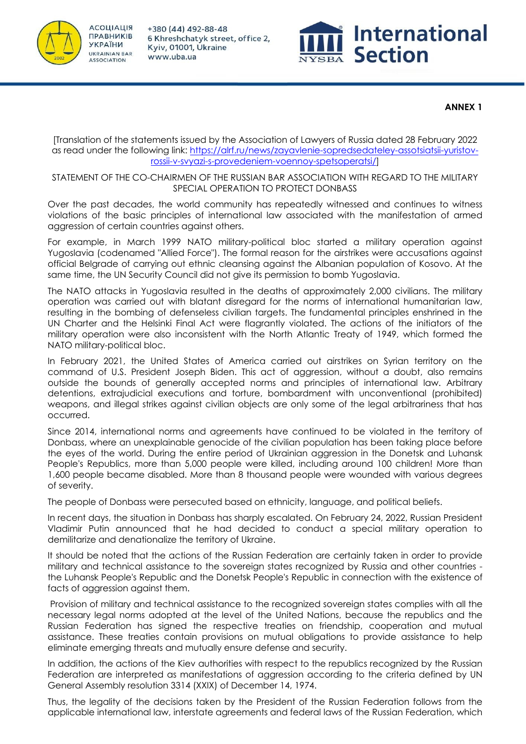



### **ANNEX 1**

[Translation of the statements issued by the Association of Lawyers of Russia dated 28 February 2022 as read under the following link: https://alrf.ru/news/zayavlenie-sopredsedateley-assotsiatsii-yuristovrossii-v-svyazi-s-provedeniem-voennoy-spetsoperatsi/]

### STATEMENT OF THE CO-CHAIRMEN OF THE RUSSIAN BAR ASSOCIATION WITH REGARD TO THE MILITARY SPECIAL OPERATION TO PROTECT DONBASS

Over the past decades, the world community has repeatedly witnessed and continues to witness violations of the basic principles of international law associated with the manifestation of armed aggression of certain countries against others.

For example, in March 1999 NATO military-political bloc started a military operation against Yugoslavia (codenamed "Allied Force"). The formal reason for the airstrikes were accusations against official Belgrade of carrying out ethnic cleansing against the Albanian population of Kosovo. At the same time, the UN Security Council did not give its permission to bomb Yugoslavia.

The NATO attacks in Yugoslavia resulted in the deaths of approximately 2,000 civilians. The military operation was carried out with blatant disregard for the norms of international humanitarian law, resulting in the bombing of defenseless civilian targets. The fundamental principles enshrined in the UN Charter and the Helsinki Final Act were flagrantly violated. The actions of the initiators of the military operation were also inconsistent with the North Atlantic Treaty of 1949, which formed the NATO military-political bloc.

In February 2021, the United States of America carried out airstrikes on Syrian territory on the command of U.S. President Joseph Biden. This act of aggression, without a doubt, also remains outside the bounds of generally accepted norms and principles of international law. Arbitrary detentions, extrajudicial executions and torture, bombardment with unconventional (prohibited) weapons, and illegal strikes against civilian objects are only some of the legal arbitrariness that has occurred.

Since 2014, international norms and agreements have continued to be violated in the territory of Donbass, where an unexplainable genocide of the civilian population has been taking place before the eyes of the world. During the entire period of Ukrainian aggression in the Donetsk and Luhansk People's Republics, more than 5,000 people were killed, including around 100 children! More than 1,600 people became disabled. More than 8 thousand people were wounded with various degrees of severity.

The people of Donbass were persecuted based on ethnicity, language, and political beliefs.

In recent days, the situation in Donbass has sharply escalated. On February 24, 2022, Russian President Vladimir Putin announced that he had decided to conduct a special military operation to demilitarize and denationalize the territory of Ukraine.

It should be noted that the actions of the Russian Federation are certainly taken in order to provide military and technical assistance to the sovereign states recognized by Russia and other countries the Luhansk People's Republic and the Donetsk People's Republic in connection with the existence of facts of aggression against them.

Provision of military and technical assistance to the recognized sovereign states complies with all the necessary legal norms adopted at the level of the United Nations, because the republics and the Russian Federation has signed the respective treaties on friendship, cooperation and mutual assistance. These treaties contain provisions on mutual obligations to provide assistance to help eliminate emerging threats and mutually ensure defense and security.

In addition, the actions of the Kiev authorities with respect to the republics recognized by the Russian Federation are interpreted as manifestations of aggression according to the criteria defined by UN General Assembly resolution 3314 (XXIX) of December 14, 1974.

Thus, the legality of the decisions taken by the President of the Russian Federation follows from the applicable international law, interstate agreements and federal laws of the Russian Federation, which